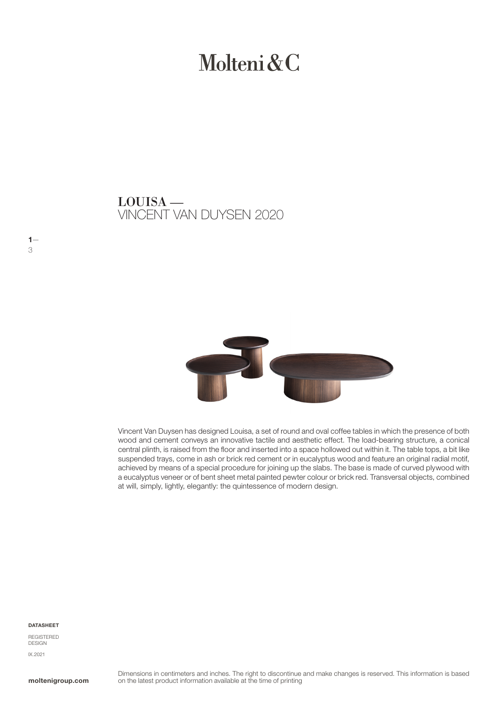# Molteni & C

VINCENT VAN DUYSEN 2020 LOUISA —



Vincent Van Duysen has designed Louisa, a set of round and oval coffee tables in which the presence of both wood and cement conveys an innovative tactile and aesthetic effect. The load-bearing structure, a conical central plinth, is raised from the floor and inserted into a space hollowed out within it. The table tops, a bit like suspended trays, come in ash or brick red cement or in eucalyptus wood and feature an original radial motif, achieved by means of a special procedure for joining up the slabs. The base is made of curved plywood with a eucalyptus veneer or of bent sheet metal painted pewter colour or brick red. Transversal objects, combined at will, simply, lightly, elegantly: the quintessence of modern design.

#### **DATASHEET**

 $1-$ 3

REGISTERED DESIGN IX.2021

moltenigroup.com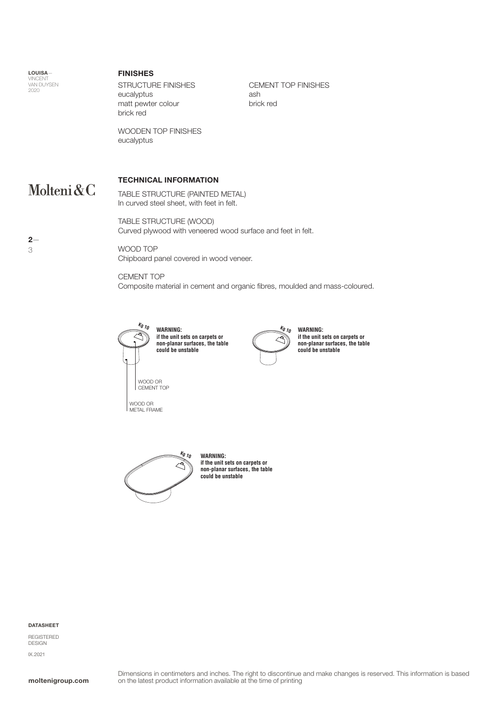**LOUISA** VINCENT<br>VAN DUYSEN<br>2020

 $2-$ 3

#### FINISHES

STRUCTURE FINISHES eucalyptus matt pewter colour brick red

CEMENT TOP FINISHES ash brick red

WOODEN TOP FINISHES eucalyptus

## TECHNICAL INFORMATION Molteni&C

TABLE STRUCTURE (PAINTED METAL) In curved steel sheet, with feet in felt.

TABLE STRUCTURE (WOOD) Curved plywood with veneered wood surface and feet in felt.

WOOD TOP Chipboard panel covered in wood veneer.

CEMENT TOP Composite material in cement and organic fibres, moulded and mass-coloured.



WOOD OR METAL FRAME

**WARNING: if the unit sets on carpets or non-planar surfaces, the table could be unstable**



**WARNING: if the unit sets on carpets or non-planar surfaces, the table could be unstable**



**WARNING: if the unit sets on carpets or non-planar surfaces, the table could be unstable**

#### DATASHEET

REGISTERED DESIGN IX.2021